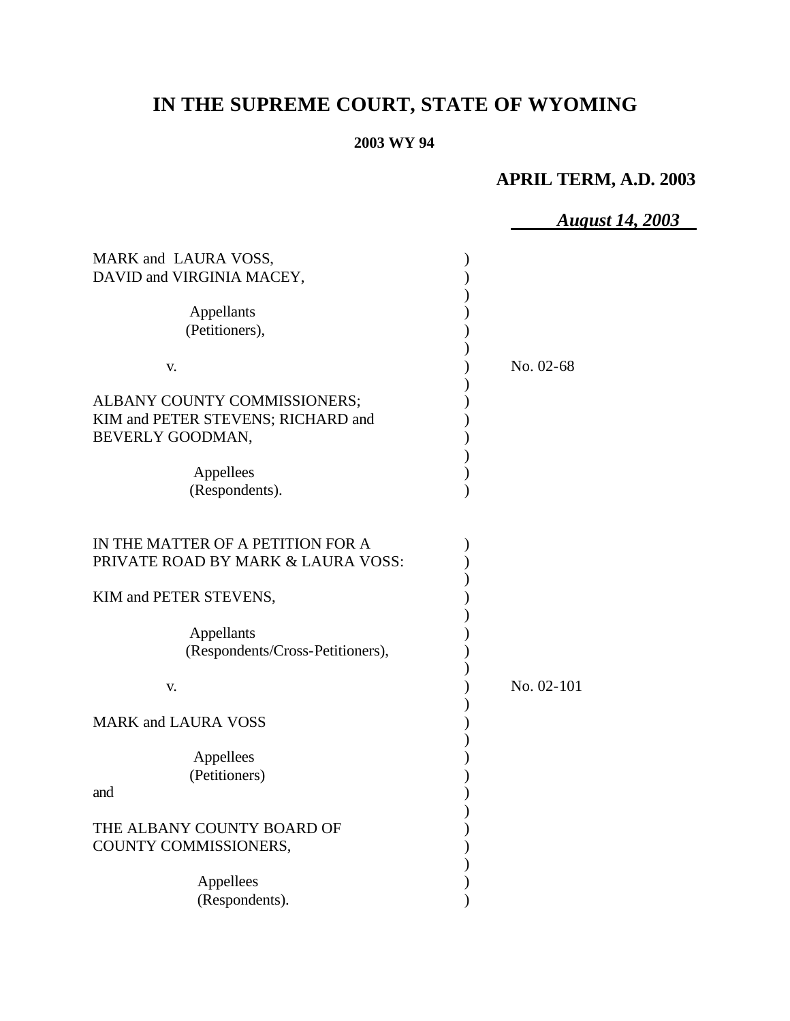# **IN THE SUPREME COURT, STATE OF WYOMING**

## **2003 WY 94**

# **APRIL TERM, A.D. 2003**

|                                                                                        | <b>August 14, 2003</b> |
|----------------------------------------------------------------------------------------|------------------------|
| MARK and LAURA VOSS,<br>DAVID and VIRGINIA MACEY,                                      |                        |
| Appellants<br>(Petitioners),                                                           |                        |
| V.                                                                                     | No. 02-68              |
| ALBANY COUNTY COMMISSIONERS;<br>KIM and PETER STEVENS; RICHARD and<br>BEVERLY GOODMAN, |                        |
| Appellees<br>(Respondents).                                                            |                        |
| IN THE MATTER OF A PETITION FOR A<br>PRIVATE ROAD BY MARK & LAURA VOSS:                |                        |
| KIM and PETER STEVENS,                                                                 |                        |
| Appellants<br>(Respondents/Cross-Petitioners),                                         |                        |
| V.                                                                                     | No. 02-101             |
| <b>MARK and LAURA VOSS</b>                                                             |                        |
| Appellees<br>(Petitioners)<br>and                                                      |                        |
| THE ALBANY COUNTY BOARD OF<br>COUNTY COMMISSIONERS,                                    |                        |
| Appellees<br>(Respondents).                                                            |                        |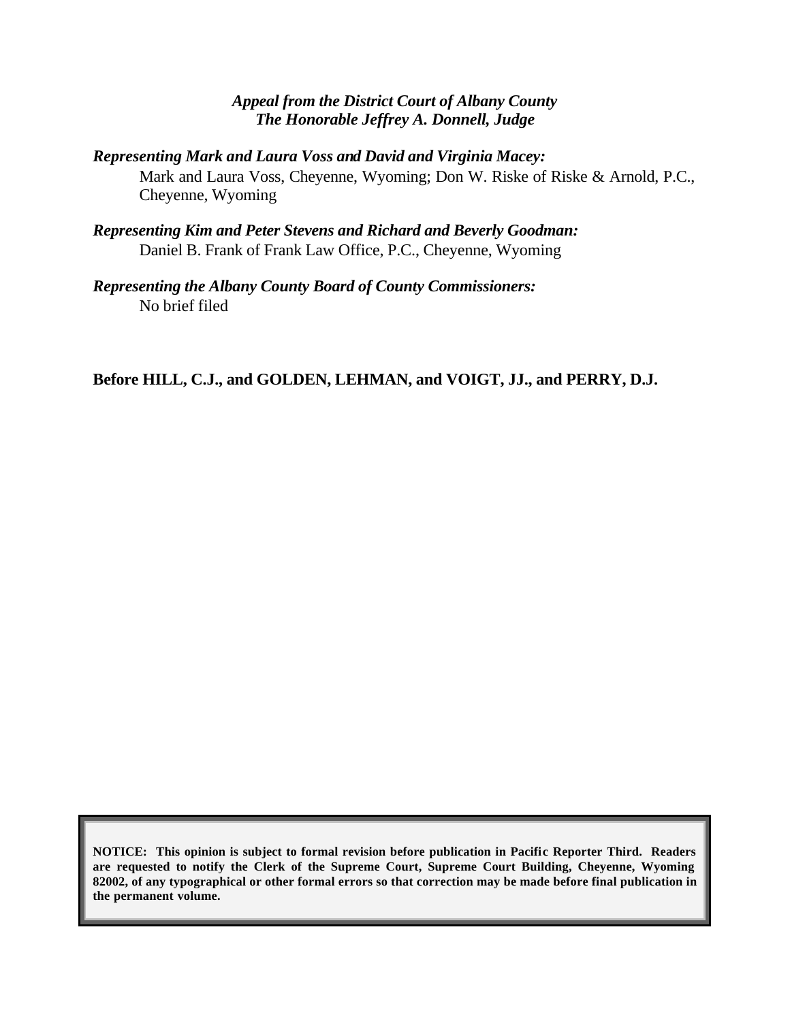## *Appeal from the District Court of Albany County The Honorable Jeffrey A. Donnell, Judge*

*Representing Mark and Laura Voss and David and Virginia Macey:*

Mark and Laura Voss, Cheyenne, Wyoming; Don W. Riske of Riske & Arnold, P.C., Cheyenne, Wyoming

*Representing Kim and Peter Stevens and Richard and Beverly Goodman:* Daniel B. Frank of Frank Law Office, P.C., Cheyenne, Wyoming

*Representing the Albany County Board of County Commissioners:* No brief filed

**Before HILL, C.J., and GOLDEN, LEHMAN, and VOIGT, JJ., and PERRY, D.J.**

**NOTICE: This opinion is subject to formal revision before publication in Pacific Reporter Third. Readers are requested to notify the Clerk of the Supreme Court, Supreme Court Building, Cheyenne, Wyoming 82002, of any typographical or other formal errors so that correction may be made before final publication in the permanent volume.**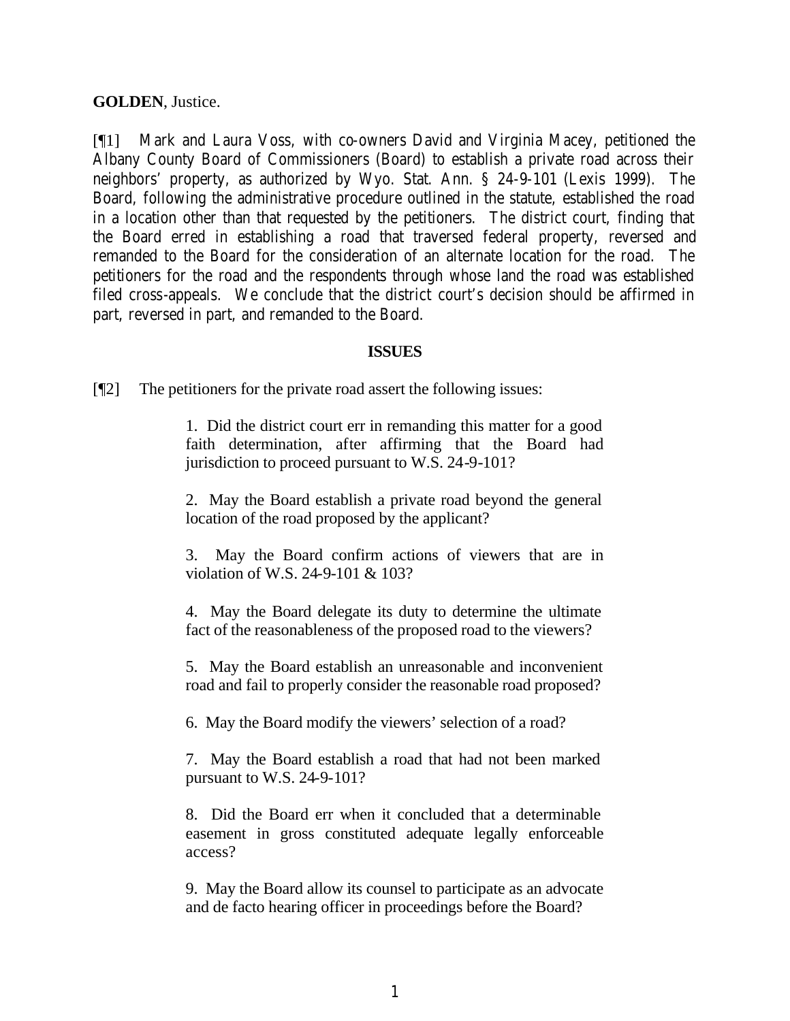**GOLDEN**, Justice.

[¶1] Mark and Laura Voss, with co-owners David and Virginia Macey, petitioned the Albany County Board of Commissioners (Board) to establish a private road across their neighbors' property, as authorized by Wyo. Stat. Ann. § 24-9-101 (Lexis 1999). The Board, following the administrative procedure outlined in the statute, established the road in a location other than that requested by the petitioners. The district court, finding that the Board erred in establishing a road that traversed federal property, reversed and remanded to the Board for the consideration of an alternate location for the road. The petitioners for the road and the respondents through whose land the road was established filed cross-appeals. We conclude that the district court's decision should be affirmed in part, reversed in part, and remanded to the Board.

#### **ISSUES**

[¶2] The petitioners for the private road assert the following issues:

1. Did the district court err in remanding this matter for a good faith determination, after affirming that the Board had jurisdiction to proceed pursuant to W.S. 24-9-101?

2. May the Board establish a private road beyond the general location of the road proposed by the applicant?

3. May the Board confirm actions of viewers that are in violation of W.S. 24-9-101 & 103?

4. May the Board delegate its duty to determine the ultimate fact of the reasonableness of the proposed road to the viewers?

5. May the Board establish an unreasonable and inconvenient road and fail to properly consider the reasonable road proposed?

6. May the Board modify the viewers' selection of a road?

7. May the Board establish a road that had not been marked pursuant to W.S. 24-9-101?

8. Did the Board err when it concluded that a determinable easement in gross constituted adequate legally enforceable access?

9. May the Board allow its counsel to participate as an advocate and de facto hearing officer in proceedings before the Board?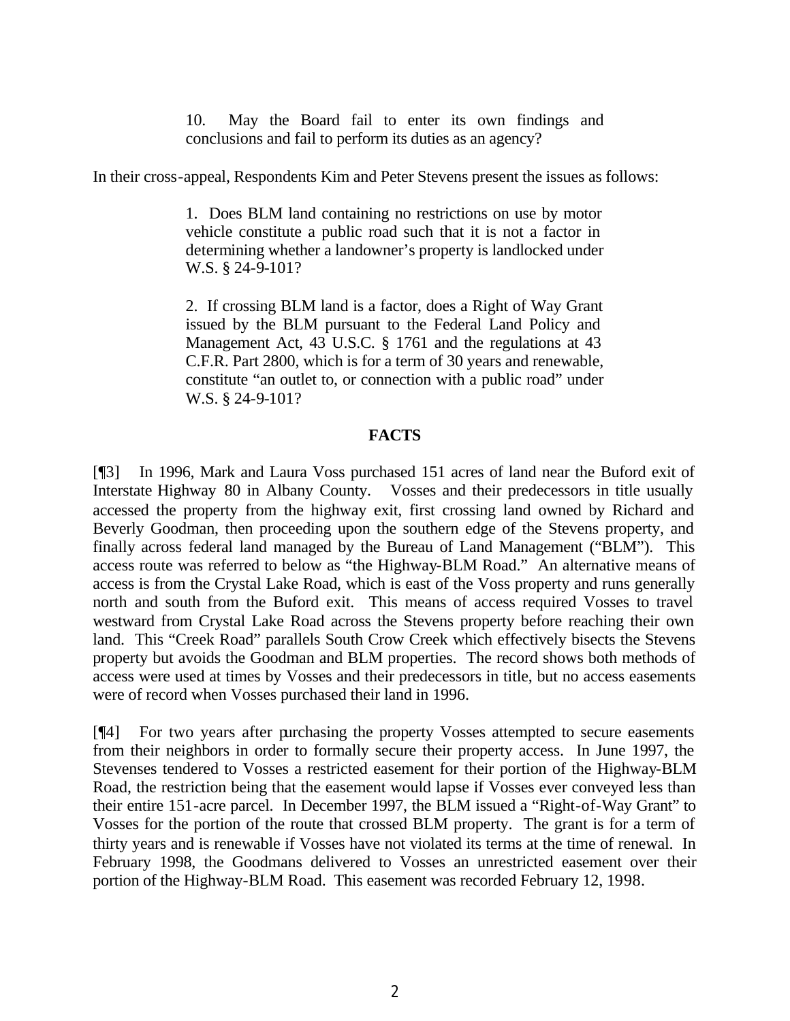10. May the Board fail to enter its own findings and conclusions and fail to perform its duties as an agency?

In their cross-appeal, Respondents Kim and Peter Stevens present the issues as follows:

1. Does BLM land containing no restrictions on use by motor vehicle constitute a public road such that it is not a factor in determining whether a landowner's property is landlocked under W.S. § 24-9-101?

2. If crossing BLM land is a factor, does a Right of Way Grant issued by the BLM pursuant to the Federal Land Policy and Management Act, 43 U.S.C. § 1761 and the regulations at 43 C.F.R. Part 2800, which is for a term of 30 years and renewable, constitute "an outlet to, or connection with a public road" under W.S. § 24-9-101?

#### **FACTS**

[¶3] In 1996, Mark and Laura Voss purchased 151 acres of land near the Buford exit of Interstate Highway 80 in Albany County. Vosses and their predecessors in title usually accessed the property from the highway exit, first crossing land owned by Richard and Beverly Goodman, then proceeding upon the southern edge of the Stevens property, and finally across federal land managed by the Bureau of Land Management ("BLM"). This access route was referred to below as "the Highway-BLM Road." An alternative means of access is from the Crystal Lake Road, which is east of the Voss property and runs generally north and south from the Buford exit. This means of access required Vosses to travel westward from Crystal Lake Road across the Stevens property before reaching their own land. This "Creek Road" parallels South Crow Creek which effectively bisects the Stevens property but avoids the Goodman and BLM properties. The record shows both methods of access were used at times by Vosses and their predecessors in title, but no access easements were of record when Vosses purchased their land in 1996.

[¶4] For two years after purchasing the property Vosses attempted to secure easements from their neighbors in order to formally secure their property access. In June 1997, the Stevenses tendered to Vosses a restricted easement for their portion of the Highway-BLM Road, the restriction being that the easement would lapse if Vosses ever conveyed less than their entire 151-acre parcel. In December 1997, the BLM issued a "Right-of-Way Grant" to Vosses for the portion of the route that crossed BLM property. The grant is for a term of thirty years and is renewable if Vosses have not violated its terms at the time of renewal. In February 1998, the Goodmans delivered to Vosses an unrestricted easement over their portion of the Highway-BLM Road. This easement was recorded February 12, 1998.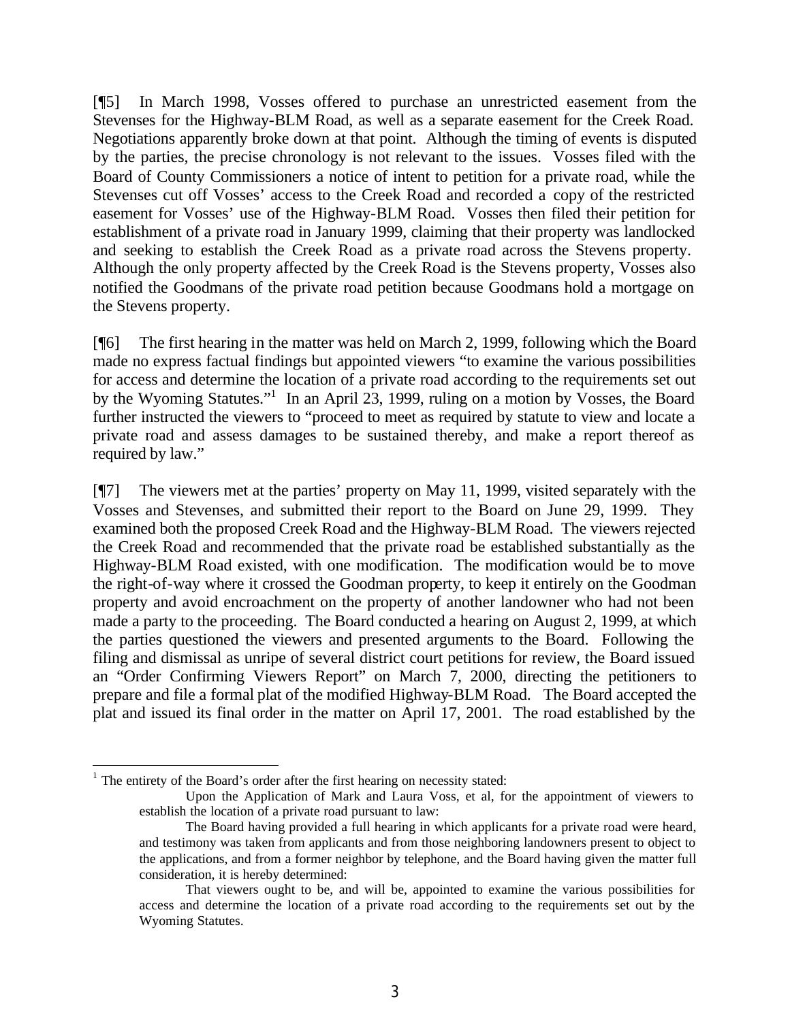[¶5] In March 1998, Vosses offered to purchase an unrestricted easement from the Stevenses for the Highway-BLM Road, as well as a separate easement for the Creek Road. Negotiations apparently broke down at that point. Although the timing of events is disputed by the parties, the precise chronology is not relevant to the issues. Vosses filed with the Board of County Commissioners a notice of intent to petition for a private road, while the Stevenses cut off Vosses' access to the Creek Road and recorded a copy of the restricted easement for Vosses' use of the Highway-BLM Road. Vosses then filed their petition for establishment of a private road in January 1999, claiming that their property was landlocked and seeking to establish the Creek Road as a private road across the Stevens property. Although the only property affected by the Creek Road is the Stevens property, Vosses also notified the Goodmans of the private road petition because Goodmans hold a mortgage on the Stevens property.

[¶6] The first hearing in the matter was held on March 2, 1999, following which the Board made no express factual findings but appointed viewers "to examine the various possibilities for access and determine the location of a private road according to the requirements set out by the Wyoming Statutes."<sup>1</sup> In an April 23, 1999, ruling on a motion by Vosses, the Board further instructed the viewers to "proceed to meet as required by statute to view and locate a private road and assess damages to be sustained thereby, and make a report thereof as required by law."

[¶7] The viewers met at the parties' property on May 11, 1999, visited separately with the Vosses and Stevenses, and submitted their report to the Board on June 29, 1999. They examined both the proposed Creek Road and the Highway-BLM Road. The viewers rejected the Creek Road and recommended that the private road be established substantially as the Highway-BLM Road existed, with one modification. The modification would be to move the right-of-way where it crossed the Goodman property, to keep it entirely on the Goodman property and avoid encroachment on the property of another landowner who had not been made a party to the proceeding. The Board conducted a hearing on August 2, 1999, at which the parties questioned the viewers and presented arguments to the Board. Following the filing and dismissal as unripe of several district court petitions for review, the Board issued an "Order Confirming Viewers Report" on March 7, 2000, directing the petitioners to prepare and file a formal plat of the modified Highway-BLM Road. The Board accepted the plat and issued its final order in the matter on April 17, 2001. The road established by the

 $<sup>1</sup>$  The entirety of the Board's order after the first hearing on necessity stated:</sup>

Upon the Application of Mark and Laura Voss, et al, for the appointment of viewers to establish the location of a private road pursuant to law:

The Board having provided a full hearing in which applicants for a private road were heard, and testimony was taken from applicants and from those neighboring landowners present to object to the applications, and from a former neighbor by telephone, and the Board having given the matter full consideration, it is hereby determined:

That viewers ought to be, and will be, appointed to examine the various possibilities for access and determine the location of a private road according to the requirements set out by the Wyoming Statutes.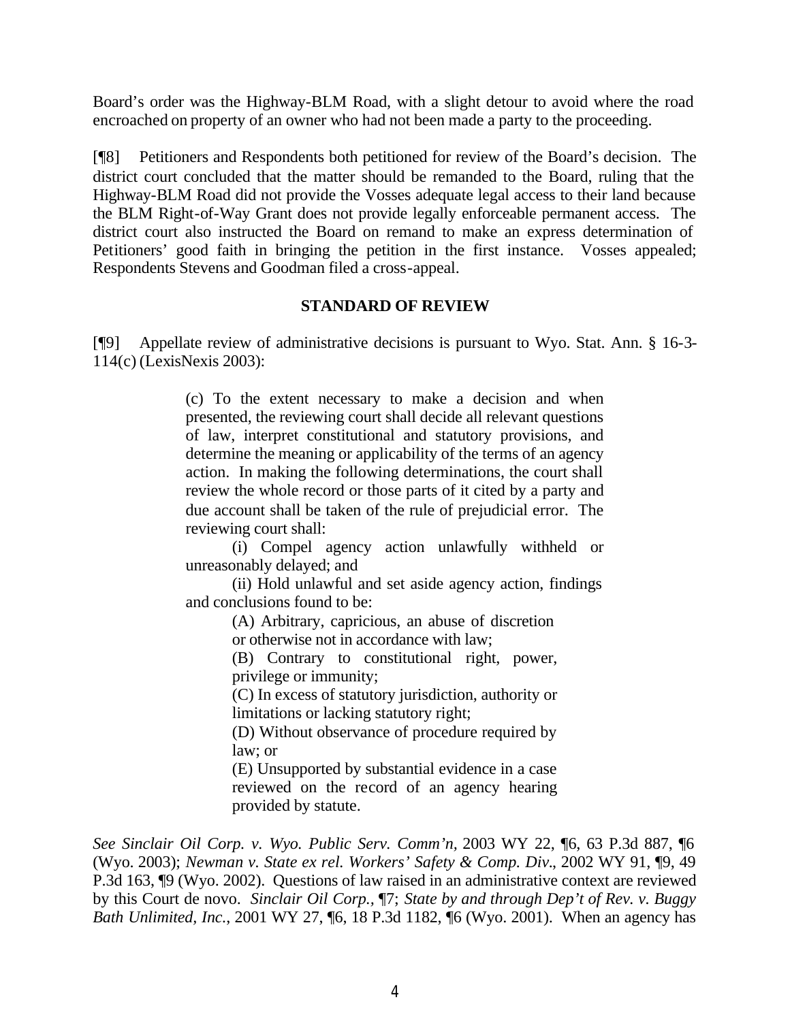Board's order was the Highway-BLM Road, with a slight detour to avoid where the road encroached on property of an owner who had not been made a party to the proceeding.

[¶8] Petitioners and Respondents both petitioned for review of the Board's decision. The district court concluded that the matter should be remanded to the Board, ruling that the Highway-BLM Road did not provide the Vosses adequate legal access to their land because the BLM Right-of-Way Grant does not provide legally enforceable permanent access. The district court also instructed the Board on remand to make an express determination of Petitioners' good faith in bringing the petition in the first instance. Vosses appealed; Respondents Stevens and Goodman filed a cross-appeal.

#### **STANDARD OF REVIEW**

[¶9] Appellate review of administrative decisions is pursuant to Wyo. Stat. Ann. § 16-3- 114(c) (LexisNexis 2003):

> (c) To the extent necessary to make a decision and when presented, the reviewing court shall decide all relevant questions of law, interpret constitutional and statutory provisions, and determine the meaning or applicability of the terms of an agency action. In making the following determinations, the court shall review the whole record or those parts of it cited by a party and due account shall be taken of the rule of prejudicial error. The reviewing court shall:

> (i) Compel agency action unlawfully withheld or unreasonably delayed; and

> (ii) Hold unlawful and set aside agency action, findings and conclusions found to be:

> > (A) Arbitrary, capricious, an abuse of discretion or otherwise not in accordance with law;

(B) Contrary to constitutional right, power, privilege or immunity;

(C) In excess of statutory jurisdiction, authority or limitations or lacking statutory right;

(D) Without observance of procedure required by law; or

(E) Unsupported by substantial evidence in a case reviewed on the record of an agency hearing provided by statute.

*See Sinclair Oil Corp. v. Wyo. Public Serv. Comm'n,* 2003 WY 22, ¶6, 63 P.3d 887, ¶6 (Wyo. 2003); *Newman v. State ex rel. Workers' Safety & Comp. Div.*, 2002 WY 91, ¶9, 49 P.3d 163, ¶9 (Wyo. 2002). Questions of law raised in an administrative context are reviewed by this Court de novo. *Sinclair Oil Corp.,* ¶7; *State by and through Dep't of Rev. v. Buggy Bath Unlimited, Inc.*, 2001 WY 27, 16, 18 P.3d 1182, 16 (Wyo. 2001). When an agency has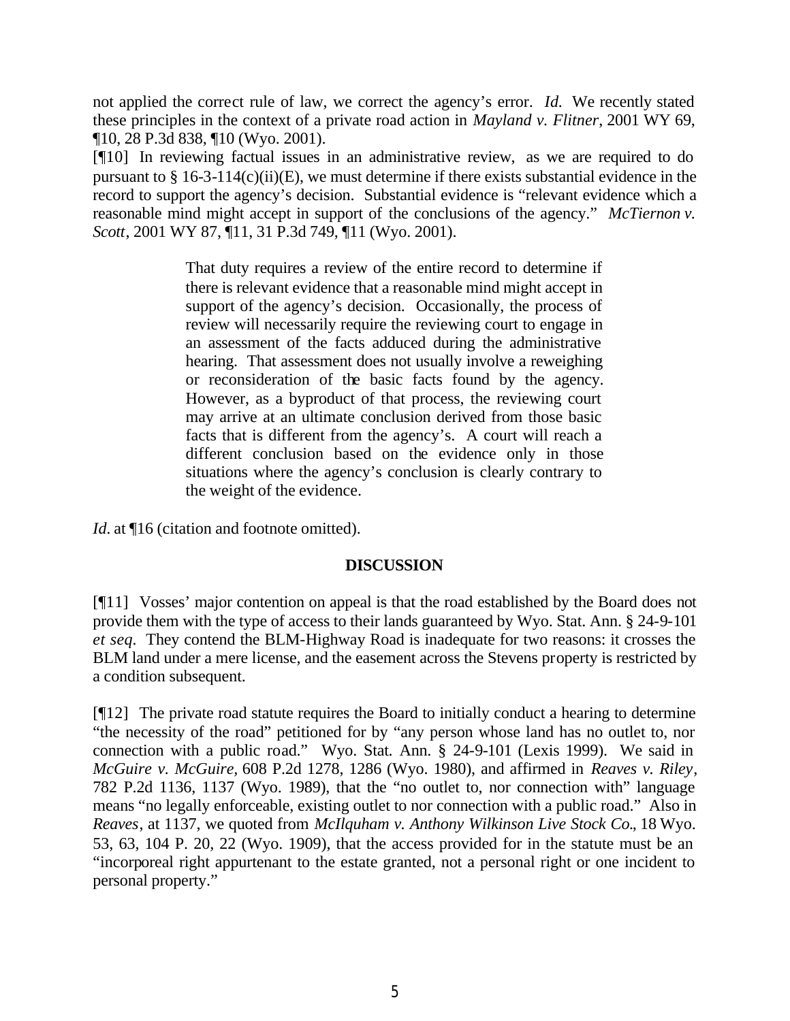not applied the correct rule of law, we correct the agency's error. *Id.* We recently stated these principles in the context of a private road action in *Mayland v. Flitner*, 2001 WY 69, ¶10, 28 P.3d 838, ¶10 (Wyo. 2001).

[¶10] In reviewing factual issues in an administrative review, as we are required to do pursuant to  $\S$  16-3-114(c)(ii)(E), we must determine if there exists substantial evidence in the record to support the agency's decision. Substantial evidence is "relevant evidence which a reasonable mind might accept in support of the conclusions of the agency." *McTiernon v. Scott*, 2001 WY 87, ¶11, 31 P.3d 749, ¶11 (Wyo. 2001).

> That duty requires a review of the entire record to determine if there is relevant evidence that a reasonable mind might accept in support of the agency's decision. Occasionally, the process of review will necessarily require the reviewing court to engage in an assessment of the facts adduced during the administrative hearing. That assessment does not usually involve a reweighing or reconsideration of the basic facts found by the agency. However, as a byproduct of that process, the reviewing court may arrive at an ultimate conclusion derived from those basic facts that is different from the agency's. A court will reach a different conclusion based on the evidence only in those situations where the agency's conclusion is clearly contrary to the weight of the evidence.

*Id.* at  $\P$ 16 (citation and footnote omitted).

#### **DISCUSSION**

[¶11] Vosses' major contention on appeal is that the road established by the Board does not provide them with the type of access to their lands guaranteed by Wyo. Stat. Ann. § 24-9-101 *et seq.* They contend the BLM-Highway Road is inadequate for two reasons: it crosses the BLM land under a mere license, and the easement across the Stevens property is restricted by a condition subsequent.

[¶12] The private road statute requires the Board to initially conduct a hearing to determine "the necessity of the road" petitioned for by "any person whose land has no outlet to, nor connection with a public road." Wyo. Stat. Ann. § 24-9-101 (Lexis 1999). We said in *McGuire v. McGuire,* 608 P.2d 1278, 1286 (Wyo. 1980), and affirmed in *Reaves v. Riley*, 782 P.2d 1136, 1137 (Wyo. 1989), that the "no outlet to, nor connection with" language means "no legally enforceable, existing outlet to nor connection with a public road." Also in *Reaves*, at 1137, we quoted from *McIlquham v. Anthony Wilkinson Live Stock Co.*, 18 Wyo. 53, 63, 104 P. 20, 22 (Wyo. 1909), that the access provided for in the statute must be an "incorporeal right appurtenant to the estate granted, not a personal right or one incident to personal property."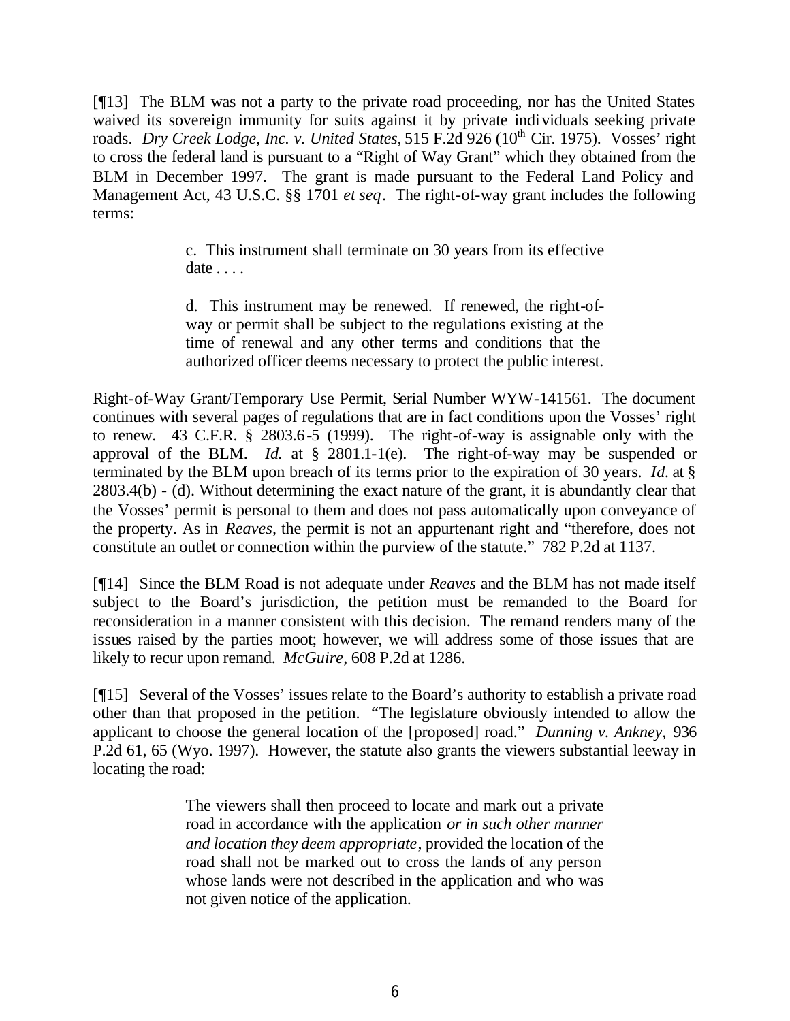[¶13] The BLM was not a party to the private road proceeding, nor has the United States waived its sovereign immunity for suits against it by private individuals seeking private roads. *Dry Creek Lodge, Inc. v. United States,* 515 F.2d 926 (10<sup>th</sup> Cir. 1975). Vosses' right to cross the federal land is pursuant to a "Right of Way Grant" which they obtained from the BLM in December 1997. The grant is made pursuant to the Federal Land Policy and Management Act, 43 U.S.C. §§ 1701 *et seq*. The right-of-way grant includes the following terms:

> c. This instrument shall terminate on 30 years from its effective date . . . .

> d. This instrument may be renewed. If renewed, the right-ofway or permit shall be subject to the regulations existing at the time of renewal and any other terms and conditions that the authorized officer deems necessary to protect the public interest.

Right-of-Way Grant/Temporary Use Permit, Serial Number WYW-141561. The document continues with several pages of regulations that are in fact conditions upon the Vosses' right to renew. 43 C.F.R. § 2803.6-5 (1999). The right-of-way is assignable only with the approval of the BLM. *Id.* at § 2801.1-1(e). The right-of-way may be suspended or terminated by the BLM upon breach of its terms prior to the expiration of 30 years. *Id.* at § 2803.4(b) - (d). Without determining the exact nature of the grant, it is abundantly clear that the Vosses' permit is personal to them and does not pass automatically upon conveyance of the property. As in *Reaves,* the permit is not an appurtenant right and "therefore, does not constitute an outlet or connection within the purview of the statute." 782 P.2d at 1137.

[¶14] Since the BLM Road is not adequate under *Reaves* and the BLM has not made itself subject to the Board's jurisdiction, the petition must be remanded to the Board for reconsideration in a manner consistent with this decision. The remand renders many of the issues raised by the parties moot; however, we will address some of those issues that are likely to recur upon remand. *McGuire*, 608 P.2d at 1286.

[¶15] Several of the Vosses' issues relate to the Board's authority to establish a private road other than that proposed in the petition. "The legislature obviously intended to allow the applicant to choose the general location of the [proposed] road." *Dunning v. Ankney,* 936 P.2d 61, 65 (Wyo. 1997). However, the statute also grants the viewers substantial leeway in locating the road:

> The viewers shall then proceed to locate and mark out a private road in accordance with the application *or in such other manner and location they deem appropriate*, provided the location of the road shall not be marked out to cross the lands of any person whose lands were not described in the application and who was not given notice of the application.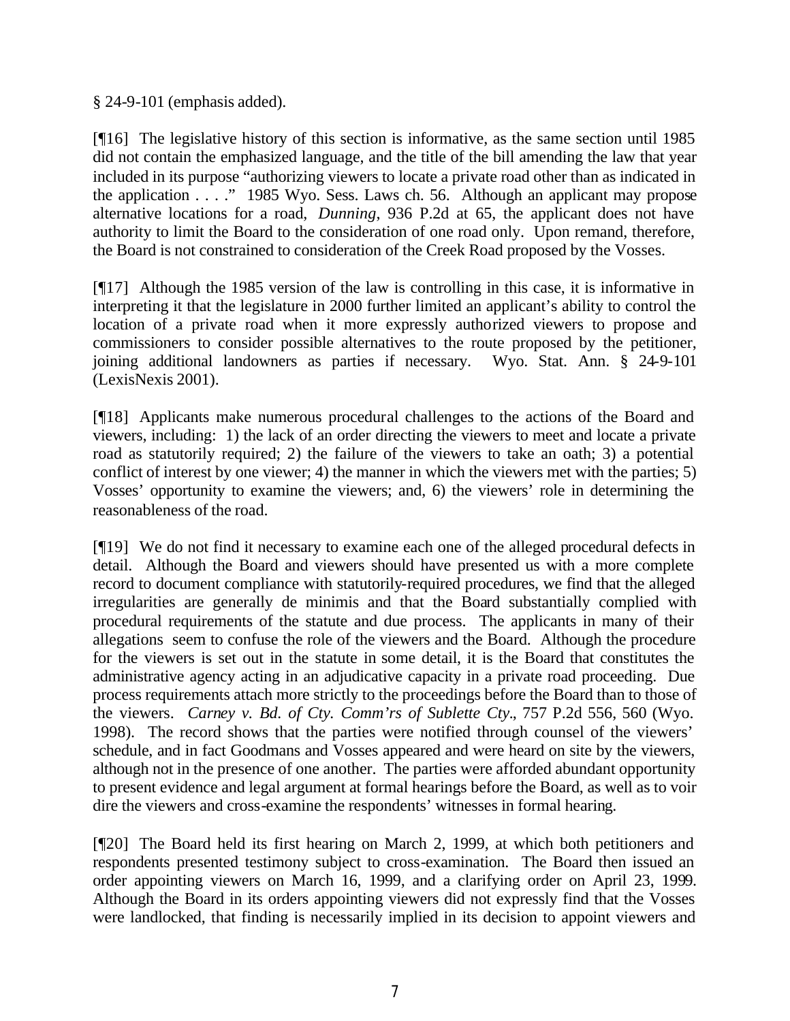§ 24-9-101 (emphasis added).

[¶16] The legislative history of this section is informative, as the same section until 1985 did not contain the emphasized language, and the title of the bill amending the law that year included in its purpose "authorizing viewers to locate a private road other than as indicated in the application . . . ." 1985 Wyo. Sess. Laws ch. 56. Although an applicant may propose alternative locations for a road, *Dunning*, 936 P.2d at 65, the applicant does not have authority to limit the Board to the consideration of one road only. Upon remand, therefore, the Board is not constrained to consideration of the Creek Road proposed by the Vosses.

[¶17] Although the 1985 version of the law is controlling in this case, it is informative in interpreting it that the legislature in 2000 further limited an applicant's ability to control the location of a private road when it more expressly authorized viewers to propose and commissioners to consider possible alternatives to the route proposed by the petitioner, joining additional landowners as parties if necessary. Wyo. Stat. Ann. § 24-9-101 (LexisNexis 2001).

[¶18] Applicants make numerous procedural challenges to the actions of the Board and viewers, including: 1) the lack of an order directing the viewers to meet and locate a private road as statutorily required; 2) the failure of the viewers to take an oath; 3) a potential conflict of interest by one viewer; 4) the manner in which the viewers met with the parties; 5) Vosses' opportunity to examine the viewers; and, 6) the viewers' role in determining the reasonableness of the road.

[¶19] We do not find it necessary to examine each one of the alleged procedural defects in detail. Although the Board and viewers should have presented us with a more complete record to document compliance with statutorily-required procedures, we find that the alleged irregularities are generally de minimis and that the Board substantially complied with procedural requirements of the statute and due process. The applicants in many of their allegations seem to confuse the role of the viewers and the Board. Although the procedure for the viewers is set out in the statute in some detail, it is the Board that constitutes the administrative agency acting in an adjudicative capacity in a private road proceeding. Due process requirements attach more strictly to the proceedings before the Board than to those of the viewers. *Carney v. Bd. of Cty. Comm'rs of Sublette Cty.*, 757 P.2d 556, 560 (Wyo. 1998). The record shows that the parties were notified through counsel of the viewers' schedule, and in fact Goodmans and Vosses appeared and were heard on site by the viewers, although not in the presence of one another. The parties were afforded abundant opportunity to present evidence and legal argument at formal hearings before the Board, as well as to voir dire the viewers and cross-examine the respondents' witnesses in formal hearing.

[¶20] The Board held its first hearing on March 2, 1999, at which both petitioners and respondents presented testimony subject to cross-examination. The Board then issued an order appointing viewers on March 16, 1999, and a clarifying order on April 23, 1999. Although the Board in its orders appointing viewers did not expressly find that the Vosses were landlocked, that finding is necessarily implied in its decision to appoint viewers and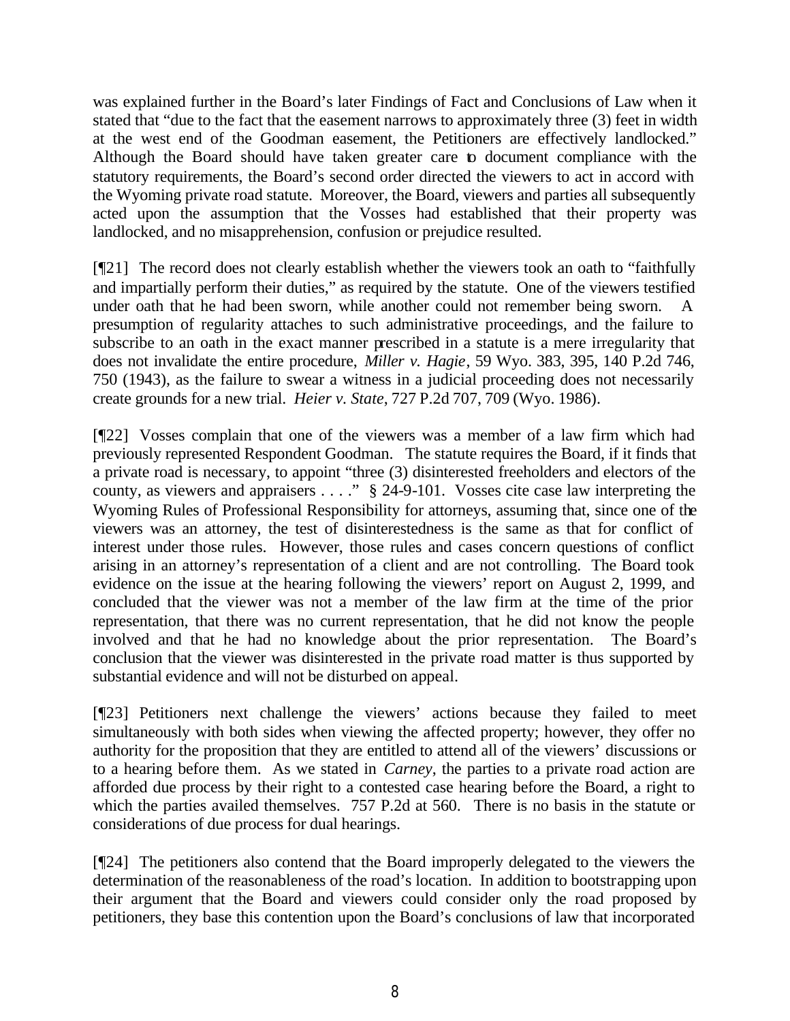was explained further in the Board's later Findings of Fact and Conclusions of Law when it stated that "due to the fact that the easement narrows to approximately three (3) feet in width at the west end of the Goodman easement, the Petitioners are effectively landlocked." Although the Board should have taken greater care to document compliance with the statutory requirements, the Board's second order directed the viewers to act in accord with the Wyoming private road statute. Moreover, the Board, viewers and parties all subsequently acted upon the assumption that the Vosses had established that their property was landlocked, and no misapprehension, confusion or prejudice resulted.

[¶21] The record does not clearly establish whether the viewers took an oath to "faithfully and impartially perform their duties," as required by the statute. One of the viewers testified under oath that he had been sworn, while another could not remember being sworn. A presumption of regularity attaches to such administrative proceedings, and the failure to subscribe to an oath in the exact manner prescribed in a statute is a mere irregularity that does not invalidate the entire procedure, *Miller v. Hagie*, 59 Wyo. 383, 395, 140 P.2d 746, 750 (1943), as the failure to swear a witness in a judicial proceeding does not necessarily create grounds for a new trial. *Heier v. State*, 727 P.2d 707, 709 (Wyo. 1986).

[¶22] Vosses complain that one of the viewers was a member of a law firm which had previously represented Respondent Goodman. The statute requires the Board, if it finds that a private road is necessary, to appoint "three (3) disinterested freeholders and electors of the county, as viewers and appraisers . . . ." § 24-9-101. Vosses cite case law interpreting the Wyoming Rules of Professional Responsibility for attorneys, assuming that, since one of the viewers was an attorney, the test of disinterestedness is the same as that for conflict of interest under those rules. However, those rules and cases concern questions of conflict arising in an attorney's representation of a client and are not controlling. The Board took evidence on the issue at the hearing following the viewers' report on August 2, 1999, and concluded that the viewer was not a member of the law firm at the time of the prior representation, that there was no current representation, that he did not know the people involved and that he had no knowledge about the prior representation. The Board's conclusion that the viewer was disinterested in the private road matter is thus supported by substantial evidence and will not be disturbed on appeal.

[¶23] Petitioners next challenge the viewers' actions because they failed to meet simultaneously with both sides when viewing the affected property; however, they offer no authority for the proposition that they are entitled to attend all of the viewers' discussions or to a hearing before them. As we stated in *Carney*, the parties to a private road action are afforded due process by their right to a contested case hearing before the Board, a right to which the parties availed themselves. 757 P.2d at 560. There is no basis in the statute or considerations of due process for dual hearings.

[¶24] The petitioners also contend that the Board improperly delegated to the viewers the determination of the reasonableness of the road's location. In addition to bootstrapping upon their argument that the Board and viewers could consider only the road proposed by petitioners, they base this contention upon the Board's conclusions of law that incorporated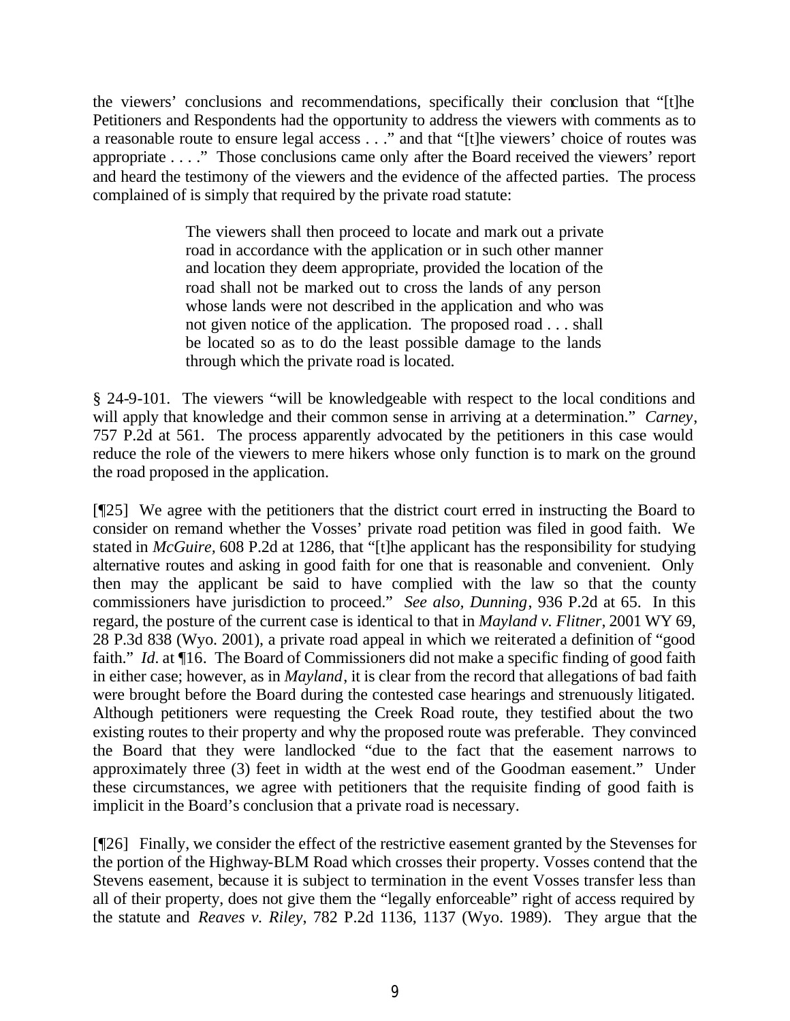the viewers' conclusions and recommendations, specifically their conclusion that "[t]he Petitioners and Respondents had the opportunity to address the viewers with comments as to a reasonable route to ensure legal access . . ." and that "[t]he viewers' choice of routes was appropriate . . . ." Those conclusions came only after the Board received the viewers' report and heard the testimony of the viewers and the evidence of the affected parties. The process complained of is simply that required by the private road statute:

> The viewers shall then proceed to locate and mark out a private road in accordance with the application or in such other manner and location they deem appropriate, provided the location of the road shall not be marked out to cross the lands of any person whose lands were not described in the application and who was not given notice of the application. The proposed road . . . shall be located so as to do the least possible damage to the lands through which the private road is located.

§ 24-9-101. The viewers "will be knowledgeable with respect to the local conditions and will apply that knowledge and their common sense in arriving at a determination." *Carney*, 757 P.2d at 561. The process apparently advocated by the petitioners in this case would reduce the role of the viewers to mere hikers whose only function is to mark on the ground the road proposed in the application.

[¶25] We agree with the petitioners that the district court erred in instructing the Board to consider on remand whether the Vosses' private road petition was filed in good faith. We stated in *McGuire,* 608 P.2d at 1286, that "[t]he applicant has the responsibility for studying alternative routes and asking in good faith for one that is reasonable and convenient. Only then may the applicant be said to have complied with the law so that the county commissioners have jurisdiction to proceed." *See also, Dunning*, 936 P.2d at 65. In this regard, the posture of the current case is identical to that in *Mayland v. Flitner*, 2001 WY 69, 28 P.3d 838 (Wyo. 2001), a private road appeal in which we reiterated a definition of "good faith." *Id.* at  $\P$ 16. The Board of Commissioners did not make a specific finding of good faith in either case; however, as in *Mayland*, it is clear from the record that allegations of bad faith were brought before the Board during the contested case hearings and strenuously litigated. Although petitioners were requesting the Creek Road route, they testified about the two existing routes to their property and why the proposed route was preferable. They convinced the Board that they were landlocked "due to the fact that the easement narrows to approximately three (3) feet in width at the west end of the Goodman easement." Under these circumstances, we agree with petitioners that the requisite finding of good faith is implicit in the Board's conclusion that a private road is necessary.

[¶26] Finally, we consider the effect of the restrictive easement granted by the Stevenses for the portion of the Highway-BLM Road which crosses their property. Vosses contend that the Stevens easement, because it is subject to termination in the event Vosses transfer less than all of their property, does not give them the "legally enforceable" right of access required by the statute and *Reaves v. Riley*, 782 P.2d 1136, 1137 (Wyo. 1989). They argue that the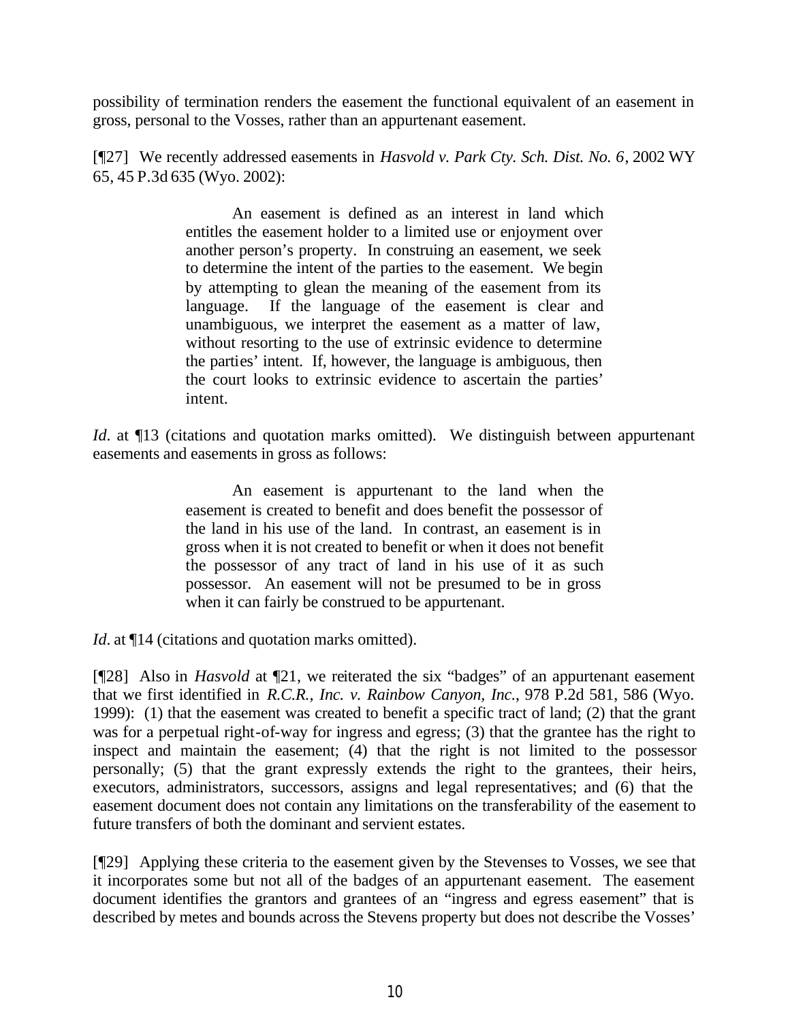possibility of termination renders the easement the functional equivalent of an easement in gross, personal to the Vosses, rather than an appurtenant easement.

[¶27] We recently addressed easements in *Hasvold v. Park Cty. Sch. Dist. No. 6*, 2002 WY 65, 45 P.3d 635 (Wyo. 2002):

> An easement is defined as an interest in land which entitles the easement holder to a limited use or enjoyment over another person's property. In construing an easement, we seek to determine the intent of the parties to the easement. We begin by attempting to glean the meaning of the easement from its language. If the language of the easement is clear and unambiguous, we interpret the easement as a matter of law, without resorting to the use of extrinsic evidence to determine the parties' intent. If, however, the language is ambiguous, then the court looks to extrinsic evidence to ascertain the parties' intent.

*Id.* at ¶13 (citations and quotation marks omitted). We distinguish between appurtenant easements and easements in gross as follows:

> An easement is appurtenant to the land when the easement is created to benefit and does benefit the possessor of the land in his use of the land. In contrast, an easement is in gross when it is not created to benefit or when it does not benefit the possessor of any tract of land in his use of it as such possessor. An easement will not be presumed to be in gross when it can fairly be construed to be appurtenant.

*Id.* at  $\P$ 14 (citations and quotation marks omitted).

[¶28] Also in *Hasvold* at ¶21, we reiterated the six "badges" of an appurtenant easement that we first identified in *R.C.R., Inc. v. Rainbow Canyon, Inc.*, 978 P.2d 581, 586 (Wyo. 1999): (1) that the easement was created to benefit a specific tract of land; (2) that the grant was for a perpetual right-of-way for ingress and egress; (3) that the grantee has the right to inspect and maintain the easement; (4) that the right is not limited to the possessor personally; (5) that the grant expressly extends the right to the grantees, their heirs, executors, administrators, successors, assigns and legal representatives; and (6) that the easement document does not contain any limitations on the transferability of the easement to future transfers of both the dominant and servient estates.

[¶29] Applying these criteria to the easement given by the Stevenses to Vosses, we see that it incorporates some but not all of the badges of an appurtenant easement. The easement document identifies the grantors and grantees of an "ingress and egress easement" that is described by metes and bounds across the Stevens property but does not describe the Vosses'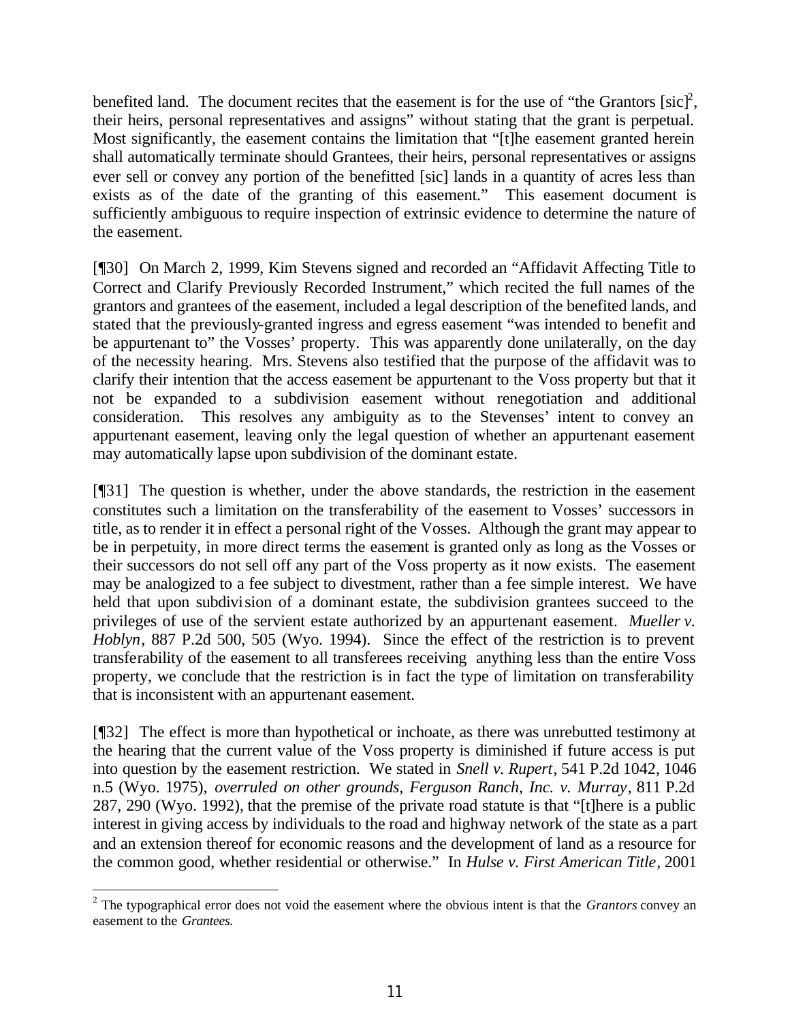benefited land. The document recites that the easement is for the use of "the Grantors [ $\text{sic}$ ]<sup>2</sup>, their heirs, personal representatives and assigns" without stating that the grant is perpetual. Most significantly, the easement contains the limitation that "[t]he easement granted herein shall automatically terminate should Grantees, their heirs, personal representatives or assigns ever sell or convey any portion of the benefitted [sic] lands in a quantity of acres less than exists as of the date of the granting of this easement." This easement document is sufficiently ambiguous to require inspection of extrinsic evidence to determine the nature of the easement.

[¶30] On March 2, 1999, Kim Stevens signed and recorded an "Affidavit Affecting Title to Correct and Clarify Previously Recorded Instrument," which recited the full names of the grantors and grantees of the easement, included a legal description of the benefited lands, and stated that the previously-granted ingress and egress easement "was intended to benefit and be appurtenant to" the Vosses' property. This was apparently done unilaterally, on the day of the necessity hearing. Mrs. Stevens also testified that the purpose of the affidavit was to clarify their intention that the access easement be appurtenant to the Voss property but that it not be expanded to a subdivision easement without renegotiation and additional consideration. This resolves any ambiguity as to the Stevenses' intent to convey an appurtenant easement, leaving only the legal question of whether an appurtenant easement may automatically lapse upon subdivision of the dominant estate.

[¶31] The question is whether, under the above standards, the restriction in the easement constitutes such a limitation on the transferability of the easement to Vosses' successors in title, as to render it in effect a personal right of the Vosses. Although the grant may appear to be in perpetuity, in more direct terms the easement is granted only as long as the Vosses or their successors do not sell off any part of the Voss property as it now exists. The easement may be analogized to a fee subject to divestment, rather than a fee simple interest. We have held that upon subdivision of a dominant estate, the subdivision grantees succeed to the privileges of use of the servient estate authorized by an appurtenant easement. *Mueller v. Hoblyn*, 887 P.2d 500, 505 (Wyo. 1994). Since the effect of the restriction is to prevent transferability of the easement to all transferees receiving anything less than the entire Voss property, we conclude that the restriction is in fact the type of limitation on transferability that is inconsistent with an appurtenant easement.

[¶32] The effect is more than hypothetical or inchoate, as there was unrebutted testimony at the hearing that the current value of the Voss property is diminished if future access is put into question by the easement restriction. We stated in *Snell v. Rupert*, 541 P.2d 1042, 1046 n.5 (Wyo. 1975), *overruled on other grounds, Ferguson Ranch, Inc. v. Murray*, 811 P.2d 287, 290 (Wyo. 1992), that the premise of the private road statute is that "[t]here is a public interest in giving access by individuals to the road and highway network of the state as a part and an extension thereof for economic reasons and the development of land as a resource for the common good, whether residential or otherwise." In *Hulse v. First American Title*, 2001

<sup>2</sup> The typographical error does not void the easement where the obvious intent is that the *Grantors* convey an easement to the *Grantees.*